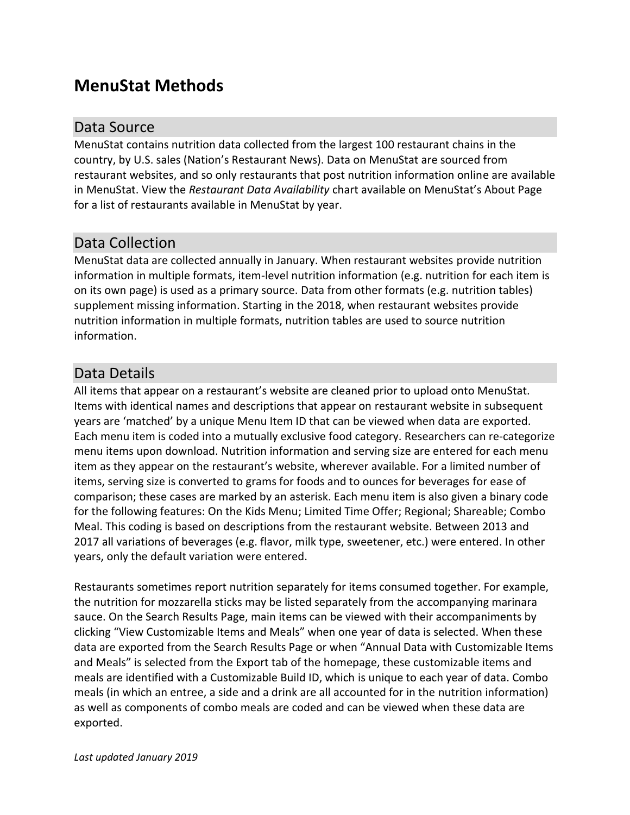# **MenuStat Methods**

### Data Source

MenuStat contains nutrition data collected from the largest 100 restaurant chains in the country, by U.S. sales (Nation's Restaurant News). Data on MenuStat are sourced from restaurant websites, and so only restaurants that post nutrition information online are available in MenuStat. View the *Restaurant Data Availability* chart available on MenuStat's About Page for a list of restaurants available in MenuStat by year.

## Data Collection

MenuStat data are collected annually in January. When restaurant websites provide nutrition information in multiple formats, item-level nutrition information (e.g. nutrition for each item is on its own page) is used as a primary source. Data from other formats (e.g. nutrition tables) supplement missing information. Starting in the 2018, when restaurant websites provide nutrition information in multiple formats, nutrition tables are used to source nutrition information.

### Data Details

All items that appear on a restaurant's website are cleaned prior to upload onto MenuStat. Items with identical names and descriptions that appear on restaurant website in subsequent years are 'matched' by a unique Menu Item ID that can be viewed when data are exported. Each menu item is coded into a mutually exclusive food category. Researchers can re-categorize menu items upon download. Nutrition information and serving size are entered for each menu item as they appear on the restaurant's website, wherever available. For a limited number of items, serving size is converted to grams for foods and to ounces for beverages for ease of comparison; these cases are marked by an asterisk. Each menu item is also given a binary code for the following features: On the Kids Menu; Limited Time Offer; Regional; Shareable; Combo Meal. This coding is based on descriptions from the restaurant website. Between 2013 and 2017 all variations of beverages (e.g. flavor, milk type, sweetener, etc.) were entered. In other years, only the default variation were entered.

Restaurants sometimes report nutrition separately for items consumed together. For example, the nutrition for mozzarella sticks may be listed separately from the accompanying marinara sauce. On the Search Results Page, main items can be viewed with their accompaniments by clicking "View Customizable Items and Meals" when one year of data is selected. When these data are exported from the Search Results Page or when "Annual Data with Customizable Items and Meals" is selected from the Export tab of the homepage, these customizable items and meals are identified with a Customizable Build ID, which is unique to each year of data. Combo meals (in which an entree, a side and a drink are all accounted for in the nutrition information) as well as components of combo meals are coded and can be viewed when these data are exported.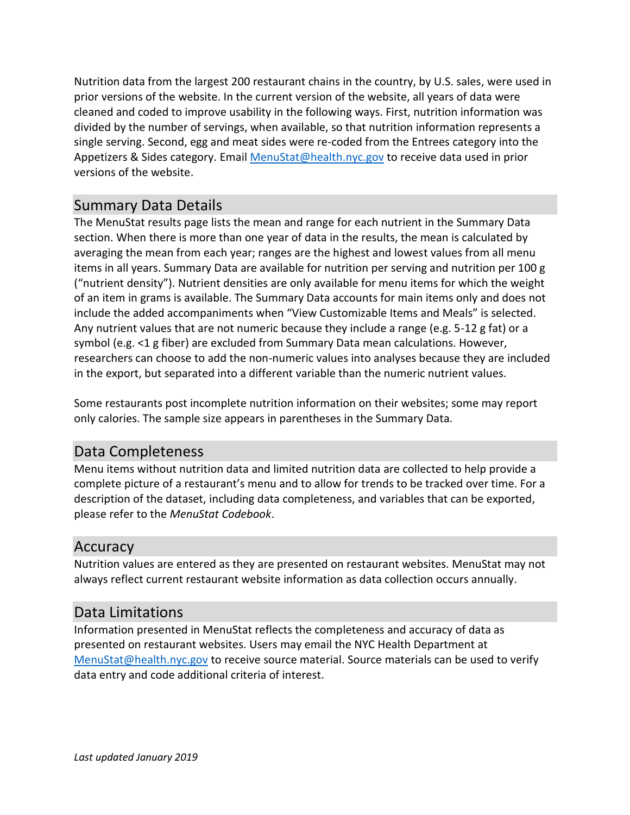Nutrition data from the largest 200 restaurant chains in the country, by U.S. sales, were used in prior versions of the website. In the current version of the website, all years of data were cleaned and coded to improve usability in the following ways. First, nutrition information was divided by the number of servings, when available, so that nutrition information represents a single serving. Second, egg and meat sides were re-coded from the Entrees category into the Appetizers & Sides category. Email [MenuStat@health.nyc.gov](mailto:MenuStat@health.nyc.gov) to receive data used in prior versions of the website.

#### Summary Data Details

The MenuStat results page lists the mean and range for each nutrient in the Summary Data section. When there is more than one year of data in the results, the mean is calculated by averaging the mean from each year; ranges are the highest and lowest values from all menu items in all years. Summary Data are available for nutrition per serving and nutrition per 100 g ("nutrient density"). Nutrient densities are only available for menu items for which the weight of an item in grams is available. The Summary Data accounts for main items only and does not include the added accompaniments when "View Customizable Items and Meals" is selected. Any nutrient values that are not numeric because they include a range (e.g. 5-12 g fat) or a symbol (e.g. <1 g fiber) are excluded from Summary Data mean calculations. However, researchers can choose to add the non-numeric values into analyses because they are included in the export, but separated into a different variable than the numeric nutrient values.

Some restaurants post incomplete nutrition information on their websites; some may report only calories. The sample size appears in parentheses in the Summary Data.

### Data Completeness

Menu items without nutrition data and limited nutrition data are collected to help provide a complete picture of a restaurant's menu and to allow for trends to be tracked over time. For a description of the dataset, including data completeness, and variables that can be exported, please refer to the *MenuStat Codebook*.

#### Accuracy

Nutrition values are entered as they are presented on restaurant websites. MenuStat may not always reflect current restaurant website information as data collection occurs annually.

### Data Limitations

Information presented in MenuStat reflects the completeness and accuracy of data as presented on restaurant websites. Users may email the NYC Health Department at [MenuStat@health.nyc.gov](mailto:MenuStat@health.nyc.gov) to receive source material. Source materials can be used to verify data entry and code additional criteria of interest.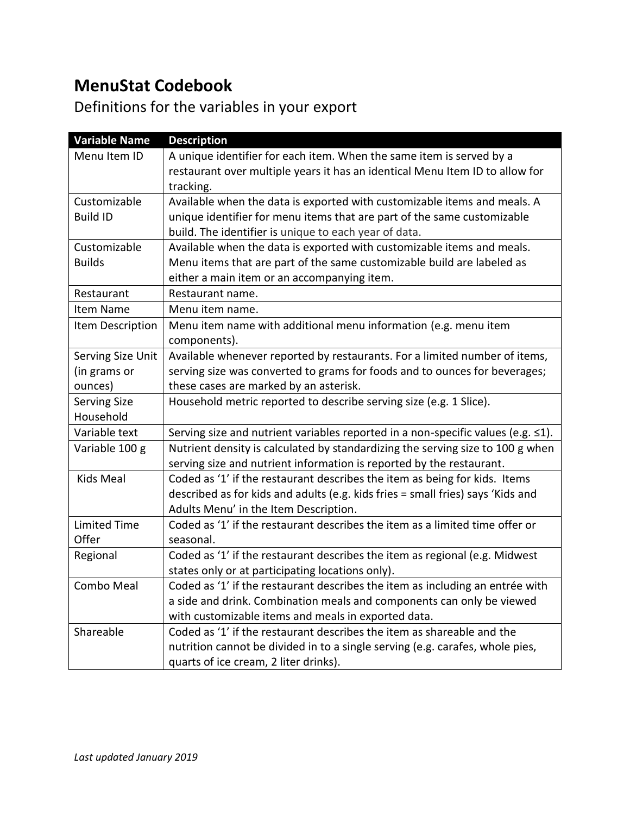# **MenuStat Codebook**

# Definitions for the variables in your export

| <b>Variable Name</b> | <b>Description</b>                                                               |  |  |  |  |  |  |
|----------------------|----------------------------------------------------------------------------------|--|--|--|--|--|--|
| Menu Item ID         | A unique identifier for each item. When the same item is served by a             |  |  |  |  |  |  |
|                      | restaurant over multiple years it has an identical Menu Item ID to allow for     |  |  |  |  |  |  |
|                      | tracking.                                                                        |  |  |  |  |  |  |
| Customizable         | Available when the data is exported with customizable items and meals. A         |  |  |  |  |  |  |
| <b>Build ID</b>      | unique identifier for menu items that are part of the same customizable          |  |  |  |  |  |  |
|                      | build. The identifier is unique to each year of data.                            |  |  |  |  |  |  |
| Customizable         | Available when the data is exported with customizable items and meals.           |  |  |  |  |  |  |
| <b>Builds</b>        | Menu items that are part of the same customizable build are labeled as           |  |  |  |  |  |  |
|                      | either a main item or an accompanying item.                                      |  |  |  |  |  |  |
| Restaurant           | Restaurant name.                                                                 |  |  |  |  |  |  |
| Item Name            | Menu item name.                                                                  |  |  |  |  |  |  |
| Item Description     | Menu item name with additional menu information (e.g. menu item                  |  |  |  |  |  |  |
|                      | components).                                                                     |  |  |  |  |  |  |
| Serving Size Unit    | Available whenever reported by restaurants. For a limited number of items,       |  |  |  |  |  |  |
| (in grams or         | serving size was converted to grams for foods and to ounces for beverages;       |  |  |  |  |  |  |
| ounces)              | these cases are marked by an asterisk.                                           |  |  |  |  |  |  |
| <b>Serving Size</b>  | Household metric reported to describe serving size (e.g. 1 Slice).               |  |  |  |  |  |  |
| Household            |                                                                                  |  |  |  |  |  |  |
| Variable text        | Serving size and nutrient variables reported in a non-specific values (e.g. ≤1). |  |  |  |  |  |  |
| Variable 100 g       | Nutrient density is calculated by standardizing the serving size to 100 g when   |  |  |  |  |  |  |
|                      | serving size and nutrient information is reported by the restaurant.             |  |  |  |  |  |  |
| Kids Meal            | Coded as '1' if the restaurant describes the item as being for kids. Items       |  |  |  |  |  |  |
|                      | described as for kids and adults (e.g. kids fries = small fries) says 'Kids and  |  |  |  |  |  |  |
|                      | Adults Menu' in the Item Description.                                            |  |  |  |  |  |  |
| <b>Limited Time</b>  | Coded as '1' if the restaurant describes the item as a limited time offer or     |  |  |  |  |  |  |
| Offer                | seasonal.                                                                        |  |  |  |  |  |  |
| Regional             | Coded as '1' if the restaurant describes the item as regional (e.g. Midwest      |  |  |  |  |  |  |
|                      | states only or at participating locations only).                                 |  |  |  |  |  |  |
| Combo Meal           | Coded as '1' if the restaurant describes the item as including an entrée with    |  |  |  |  |  |  |
|                      | a side and drink. Combination meals and components can only be viewed            |  |  |  |  |  |  |
|                      | with customizable items and meals in exported data.                              |  |  |  |  |  |  |
| Shareable            | Coded as '1' if the restaurant describes the item as shareable and the           |  |  |  |  |  |  |
|                      | nutrition cannot be divided in to a single serving (e.g. carafes, whole pies,    |  |  |  |  |  |  |
|                      | quarts of ice cream, 2 liter drinks).                                            |  |  |  |  |  |  |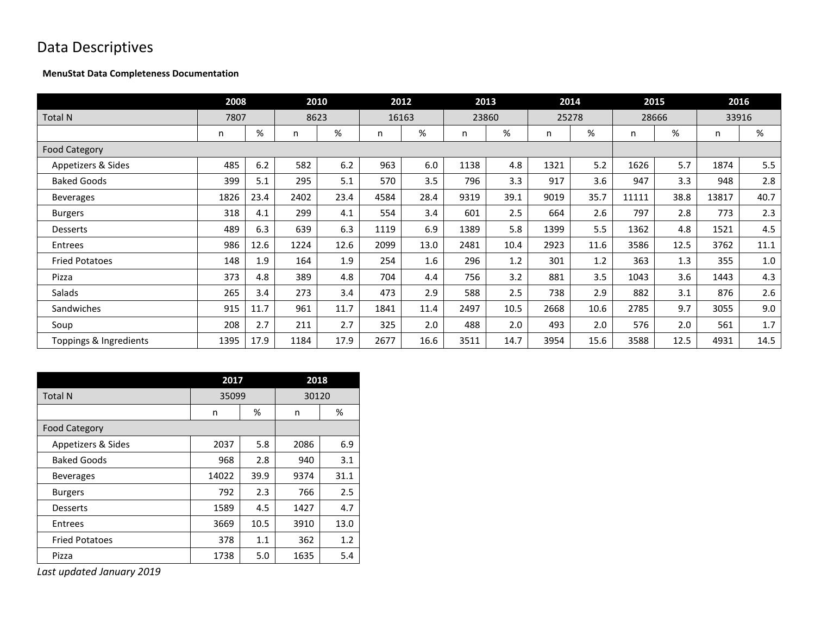# Data Descriptives

#### **MenuStat Data Completeness Documentation**

|                        | 2008 |      |      | 2010 |      | 2012  | 2013 |       | 2014  |      |       | 2015  | 2016  |      |
|------------------------|------|------|------|------|------|-------|------|-------|-------|------|-------|-------|-------|------|
| <b>Total N</b>         | 7807 |      | 8623 |      |      | 16163 |      | 23860 | 25278 |      |       | 28666 | 33916 |      |
|                        | n    | %    | n    | %    | n    | %     | n    | %     | n     | %    | n     | %     | n     | %    |
| <b>Food Category</b>   |      |      |      |      |      |       |      |       |       |      |       |       |       |      |
| Appetizers & Sides     | 485  | 6.2  | 582  | 6.2  | 963  | 6.0   | 1138 | 4.8   | 1321  | 5.2  | 1626  | 5.7   | 1874  | 5.5  |
| <b>Baked Goods</b>     | 399  | 5.1  | 295  | 5.1  | 570  | 3.5   | 796  | 3.3   | 917   | 3.6  | 947   | 3.3   | 948   | 2.8  |
| <b>Beverages</b>       | 1826 | 23.4 | 2402 | 23.4 | 4584 | 28.4  | 9319 | 39.1  | 9019  | 35.7 | 11111 | 38.8  | 13817 | 40.7 |
| <b>Burgers</b>         | 318  | 4.1  | 299  | 4.1  | 554  | 3.4   | 601  | 2.5   | 664   | 2.6  | 797   | 2.8   | 773   | 2.3  |
| <b>Desserts</b>        | 489  | 6.3  | 639  | 6.3  | 1119 | 6.9   | 1389 | 5.8   | 1399  | 5.5  | 1362  | 4.8   | 1521  | 4.5  |
| Entrees                | 986  | 12.6 | 1224 | 12.6 | 2099 | 13.0  | 2481 | 10.4  | 2923  | 11.6 | 3586  | 12.5  | 3762  | 11.1 |
| <b>Fried Potatoes</b>  | 148  | 1.9  | 164  | 1.9  | 254  | 1.6   | 296  | 1.2   | 301   | 1.2  | 363   | 1.3   | 355   | 1.0  |
| Pizza                  | 373  | 4.8  | 389  | 4.8  | 704  | 4.4   | 756  | 3.2   | 881   | 3.5  | 1043  | 3.6   | 1443  | 4.3  |
| Salads                 | 265  | 3.4  | 273  | 3.4  | 473  | 2.9   | 588  | 2.5   | 738   | 2.9  | 882   | 3.1   | 876   | 2.6  |
| Sandwiches             | 915  | 11.7 | 961  | 11.7 | 1841 | 11.4  | 2497 | 10.5  | 2668  | 10.6 | 2785  | 9.7   | 3055  | 9.0  |
| Soup                   | 208  | 2.7  | 211  | 2.7  | 325  | 2.0   | 488  | 2.0   | 493   | 2.0  | 576   | 2.0   | 561   | 1.7  |
| Toppings & Ingredients | 1395 | 17.9 | 1184 | 17.9 | 2677 | 16.6  | 3511 | 14.7  | 3954  | 15.6 | 3588  | 12.5  | 4931  | 14.5 |

|                       | 2017  |      | 2018  |      |
|-----------------------|-------|------|-------|------|
| <b>Total N</b>        | 35099 |      | 30120 |      |
|                       | n     | %    | n     | %    |
| <b>Food Category</b>  |       |      |       |      |
| Appetizers & Sides    | 2037  | 5.8  | 2086  | 6.9  |
| <b>Baked Goods</b>    | 968   | 2.8  | 940   | 3.1  |
| <b>Beverages</b>      | 14022 | 39.9 | 9374  | 31.1 |
| <b>Burgers</b>        | 792   | 2.3  | 766   | 2.5  |
| <b>Desserts</b>       | 1589  | 4.5  | 1427  | 4.7  |
| Entrees               | 3669  | 10.5 | 3910  | 13.0 |
| <b>Fried Potatoes</b> | 378   | 1.1  | 362   | 1.2  |
| Pizza                 | 1738  | 5.0  | 1635  | 5.4  |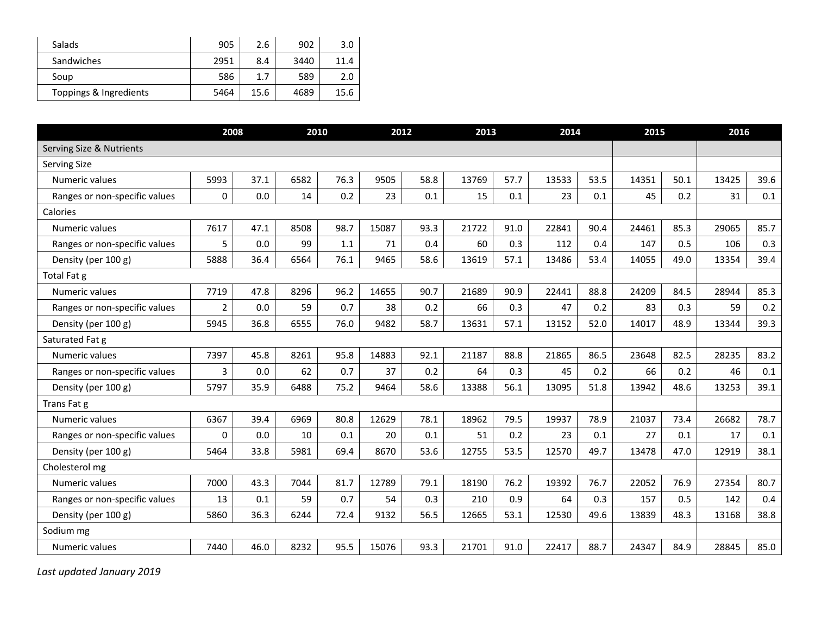| <b>Salads</b>          | 905  | 2.6  | 902  | 3.0  |
|------------------------|------|------|------|------|
| Sandwiches             | 2951 | 8.4  | 3440 | 11.4 |
| Soup                   | 586  | 1.7  | 589  | 2.0  |
| Toppings & Ingredients | 5464 | 15.6 | 4689 | 15.6 |

|                               | 2008           |      | 2010 |      | 2012  |      | 2013  |      | 2014  |      | 2015  |      | 2016  |      |
|-------------------------------|----------------|------|------|------|-------|------|-------|------|-------|------|-------|------|-------|------|
| Serving Size & Nutrients      |                |      |      |      |       |      |       |      |       |      |       |      |       |      |
| Serving Size                  |                |      |      |      |       |      |       |      |       |      |       |      |       |      |
| Numeric values                | 5993           | 37.1 | 6582 | 76.3 | 9505  | 58.8 | 13769 | 57.7 | 13533 | 53.5 | 14351 | 50.1 | 13425 | 39.6 |
| Ranges or non-specific values | 0              | 0.0  | 14   | 0.2  | 23    | 0.1  | 15    | 0.1  | 23    | 0.1  | 45    | 0.2  | 31    | 0.1  |
| Calories                      |                |      |      |      |       |      |       |      |       |      |       |      |       |      |
| Numeric values                | 7617           | 47.1 | 8508 | 98.7 | 15087 | 93.3 | 21722 | 91.0 | 22841 | 90.4 | 24461 | 85.3 | 29065 | 85.7 |
| Ranges or non-specific values | 5              | 0.0  | 99   | 1.1  | 71    | 0.4  | 60    | 0.3  | 112   | 0.4  | 147   | 0.5  | 106   | 0.3  |
| Density (per 100 g)           | 5888           | 36.4 | 6564 | 76.1 | 9465  | 58.6 | 13619 | 57.1 | 13486 | 53.4 | 14055 | 49.0 | 13354 | 39.4 |
| Total Fat g                   |                |      |      |      |       |      |       |      |       |      |       |      |       |      |
| Numeric values                | 7719           | 47.8 | 8296 | 96.2 | 14655 | 90.7 | 21689 | 90.9 | 22441 | 88.8 | 24209 | 84.5 | 28944 | 85.3 |
| Ranges or non-specific values | $\overline{2}$ | 0.0  | 59   | 0.7  | 38    | 0.2  | 66    | 0.3  | 47    | 0.2  | 83    | 0.3  | 59    | 0.2  |
| Density (per 100 g)           | 5945           | 36.8 | 6555 | 76.0 | 9482  | 58.7 | 13631 | 57.1 | 13152 | 52.0 | 14017 | 48.9 | 13344 | 39.3 |
| Saturated Fat g               |                |      |      |      |       |      |       |      |       |      |       |      |       |      |
| Numeric values                | 7397           | 45.8 | 8261 | 95.8 | 14883 | 92.1 | 21187 | 88.8 | 21865 | 86.5 | 23648 | 82.5 | 28235 | 83.2 |
| Ranges or non-specific values | 3              | 0.0  | 62   | 0.7  | 37    | 0.2  | 64    | 0.3  | 45    | 0.2  | 66    | 0.2  | 46    | 0.1  |
| Density (per 100 g)           | 5797           | 35.9 | 6488 | 75.2 | 9464  | 58.6 | 13388 | 56.1 | 13095 | 51.8 | 13942 | 48.6 | 13253 | 39.1 |
| Trans Fat g                   |                |      |      |      |       |      |       |      |       |      |       |      |       |      |
| Numeric values                | 6367           | 39.4 | 6969 | 80.8 | 12629 | 78.1 | 18962 | 79.5 | 19937 | 78.9 | 21037 | 73.4 | 26682 | 78.7 |
| Ranges or non-specific values | $\Omega$       | 0.0  | 10   | 0.1  | 20    | 0.1  | 51    | 0.2  | 23    | 0.1  | 27    | 0.1  | 17    | 0.1  |
| Density (per 100 g)           | 5464           | 33.8 | 5981 | 69.4 | 8670  | 53.6 | 12755 | 53.5 | 12570 | 49.7 | 13478 | 47.0 | 12919 | 38.1 |
| Cholesterol mg                |                |      |      |      |       |      |       |      |       |      |       |      |       |      |
| Numeric values                | 7000           | 43.3 | 7044 | 81.7 | 12789 | 79.1 | 18190 | 76.2 | 19392 | 76.7 | 22052 | 76.9 | 27354 | 80.7 |
| Ranges or non-specific values | 13             | 0.1  | 59   | 0.7  | 54    | 0.3  | 210   | 0.9  | 64    | 0.3  | 157   | 0.5  | 142   | 0.4  |
| Density (per 100 g)           | 5860           | 36.3 | 6244 | 72.4 | 9132  | 56.5 | 12665 | 53.1 | 12530 | 49.6 | 13839 | 48.3 | 13168 | 38.8 |
| Sodium mg                     |                |      |      |      |       |      |       |      |       |      |       |      |       |      |
| Numeric values                | 7440           | 46.0 | 8232 | 95.5 | 15076 | 93.3 | 21701 | 91.0 | 22417 | 88.7 | 24347 | 84.9 | 28845 | 85.0 |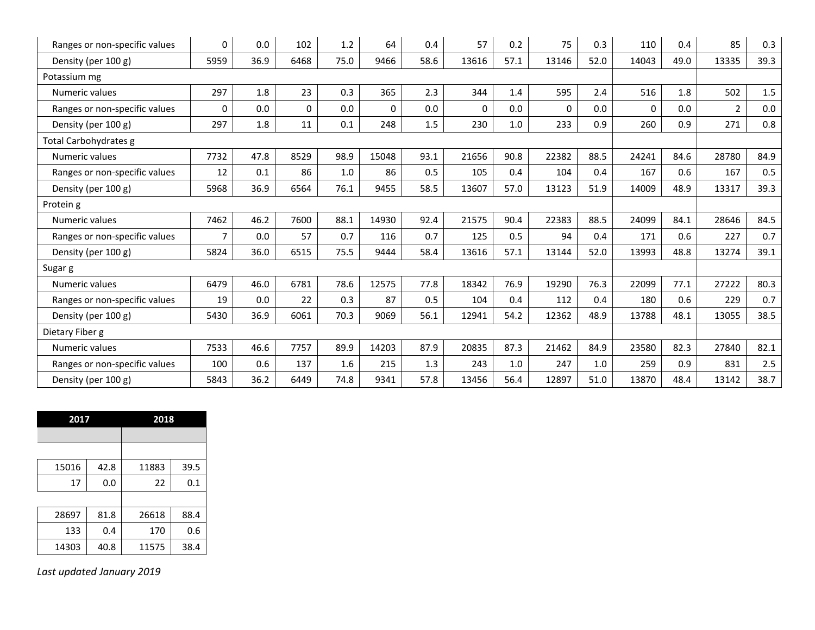| Ranges or non-specific values | 0              | 0.0  | 102          | 1.2  | 64       | 0.4  | 57       | 0.2  | 75       | 0.3  | 110      | 0.4  | 85             | 0.3     |
|-------------------------------|----------------|------|--------------|------|----------|------|----------|------|----------|------|----------|------|----------------|---------|
| Density (per 100 g)           | 5959           | 36.9 | 6468         | 75.0 | 9466     | 58.6 | 13616    | 57.1 | 13146    | 52.0 | 14043    | 49.0 | 13335          | 39.3    |
| Potassium mg                  |                |      |              |      |          |      |          |      |          |      |          |      |                |         |
| Numeric values                | 297            | 1.8  | 23           | 0.3  | 365      | 2.3  | 344      | 1.4  | 595      | 2.4  | 516      | 1.8  | 502            | $1.5\,$ |
| Ranges or non-specific values | $\Omega$       | 0.0  | $\mathbf{0}$ | 0.0  | $\Omega$ | 0.0  | $\Omega$ | 0.0  | $\Omega$ | 0.0  | $\Omega$ | 0.0  | $\overline{2}$ | 0.0     |
| Density (per 100 g)           | 297            | 1.8  | 11           | 0.1  | 248      | 1.5  | 230      | 1.0  | 233      | 0.9  | 260      | 0.9  | 271            | 0.8     |
| Total Carbohydrates g         |                |      |              |      |          |      |          |      |          |      |          |      |                |         |
| Numeric values                | 7732           | 47.8 | 8529         | 98.9 | 15048    | 93.1 | 21656    | 90.8 | 22382    | 88.5 | 24241    | 84.6 | 28780          | 84.9    |
| Ranges or non-specific values | 12             | 0.1  | 86           | 1.0  | 86       | 0.5  | 105      | 0.4  | 104      | 0.4  | 167      | 0.6  | 167            | 0.5     |
| Density (per 100 g)           | 5968           | 36.9 | 6564         | 76.1 | 9455     | 58.5 | 13607    | 57.0 | 13123    | 51.9 | 14009    | 48.9 | 13317          | 39.3    |
| Protein g                     |                |      |              |      |          |      |          |      |          |      |          |      |                |         |
| Numeric values                | 7462           | 46.2 | 7600         | 88.1 | 14930    | 92.4 | 21575    | 90.4 | 22383    | 88.5 | 24099    | 84.1 | 28646          | 84.5    |
| Ranges or non-specific values | $\overline{7}$ | 0.0  | 57           | 0.7  | 116      | 0.7  | 125      | 0.5  | 94       | 0.4  | 171      | 0.6  | 227            | 0.7     |
| Density (per 100 g)           | 5824           | 36.0 | 6515         | 75.5 | 9444     | 58.4 | 13616    | 57.1 | 13144    | 52.0 | 13993    | 48.8 | 13274          | 39.1    |
| Sugar g                       |                |      |              |      |          |      |          |      |          |      |          |      |                |         |
| Numeric values                | 6479           | 46.0 | 6781         | 78.6 | 12575    | 77.8 | 18342    | 76.9 | 19290    | 76.3 | 22099    | 77.1 | 27222          | 80.3    |
| Ranges or non-specific values | 19             | 0.0  | 22           | 0.3  | 87       | 0.5  | 104      | 0.4  | 112      | 0.4  | 180      | 0.6  | 229            | 0.7     |
| Density (per 100 g)           | 5430           | 36.9 | 6061         | 70.3 | 9069     | 56.1 | 12941    | 54.2 | 12362    | 48.9 | 13788    | 48.1 | 13055          | 38.5    |
| Dietary Fiber g               |                |      |              |      |          |      |          |      |          |      |          |      |                |         |
| Numeric values                | 7533           | 46.6 | 7757         | 89.9 | 14203    | 87.9 | 20835    | 87.3 | 21462    | 84.9 | 23580    | 82.3 | 27840          | 82.1    |
| Ranges or non-specific values | 100            | 0.6  | 137          | 1.6  | 215      | 1.3  | 243      | 1.0  | 247      | 1.0  | 259      | 0.9  | 831            | 2.5     |
| Density (per 100 g)           | 5843           | 36.2 | 6449         | 74.8 | 9341     | 57.8 | 13456    | 56.4 | 12897    | 51.0 | 13870    | 48.4 | 13142          | 38.7    |

| 2017  |      | 2018  |      |  |
|-------|------|-------|------|--|
|       |      |       |      |  |
|       |      |       |      |  |
| 15016 | 42.8 | 11883 | 39.5 |  |
| 17    | 0.0  | 22    | 0.1  |  |
|       |      |       |      |  |
| 28697 | 81.8 | 26618 | 88.4 |  |
| 133   | 0.4  | 170   | 0.6  |  |
| 14303 | 40.8 | 11575 | 38.4 |  |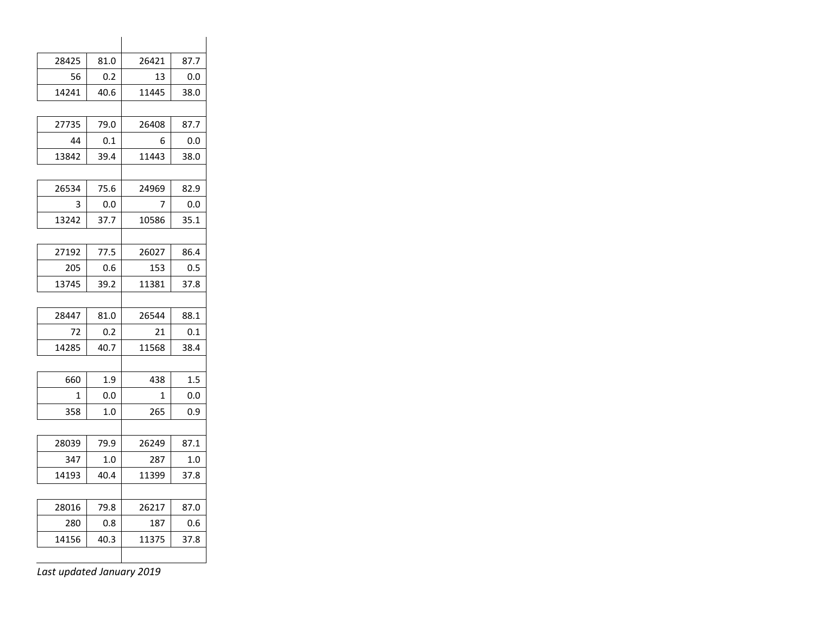| 28425 | 81.0 | 26421 | 87.7     |
|-------|------|-------|----------|
| 56    | 0.2  | 13    | $_{0.0}$ |
| 14241 | 40.6 | 11445 | 38.0     |
|       |      |       |          |
| 27735 | 79.0 | 26408 | 87.7     |
| 44    | 0.1  | 6     | 0.0      |
| 13842 | 39.4 | 11443 | 38.0     |
|       |      |       |          |
| 26534 | 75.6 | 24969 | 82.9     |
| 3     | 0.0  | 7     | 0.0      |
| 13242 | 37.7 | 10586 | 35.1     |
|       |      |       |          |
| 27192 | 77.5 | 26027 | 86.4     |
| 205   | 0.6  | 153   | 0.5      |
| 13745 | 39.2 | 11381 | 37.8     |
|       |      |       |          |
| 28447 | 81.0 | 26544 | 88.1     |
| 72    | 0.2  | 21    | 0.1      |
| 14285 | 40.7 | 11568 | 38.4     |
|       |      |       |          |
| 660   | 1.9  | 438   | 1.5      |
| 1     | 0.0  | 1     | $_{0.0}$ |
| 358   | 1.0  | 265   | 0.9      |
|       |      |       |          |
| 28039 | 79.9 | 26249 | 87.1     |
| 347   | 1.0  | 287   | 1.0      |
| 14193 | 40.4 | 11399 | 37.8     |
|       |      |       |          |
| 28016 | 79.8 | 26217 | 87.0     |
| 280   | 0.8  | 187   | 0.6      |
| 14156 | 40.3 | 11375 | 37.8     |
|       |      |       |          |